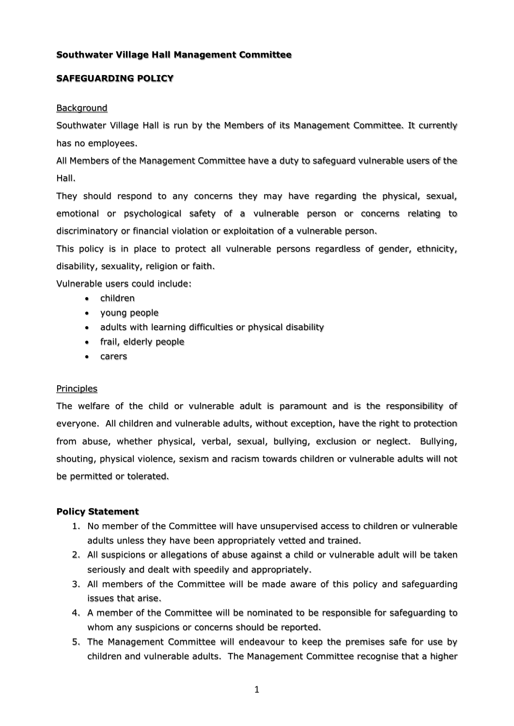## **Southwater Village Hall Management Committee**

### **SAFEGUARDING POLICY**

#### **Background**

Southwater Village Hall is run by the Members of its Management Committee. It currently has no employees.

All Members of the Management Committee have a duty to safeguard vulnerable users of the Hall.

They should respond to any concerns they may have regarding the physical, sexual, emotional or psychological safety of a vulnerable person or concerns relating to discriminatory or financial violation or exploitation of a vulnerable person.

This policy is in place to protect all vulnerable persons regardless of gender, ethnicity, disability, sexuality, religion or faith.

Vulnerable users could include:

- children
- young people
- adults with learning difficulties or physical disability
- frail, elderly people
- carers

#### Principles

The welfare of the child or vulnerable adult is paramount and is the responsibility of everyone. All children and vulnerable adults, without exception, have the right to protection from abuse, whether physical, verbal, sexual, bullying, exclusion or neglect. Bullying, shouting, physical violence, sexism and racism towards children or vulnerable adults will not be permitted or tolerated.

#### **Policy Statement**

- 1. No member of the Committee will have unsupervised access to children or vulnerable adults unless they have been appropriately vetted and trained.
- 2. All suspicions or allegations of abuse against a child or vulnerable adult will be taken seriously and dealt with speedily and appropriately.
- 3. All members of the Committee will be made aware of this policy and safeguarding issues that arise.
- 4. A member of the Committee will be nominated to be responsible for safeguarding to whom any suspicions or concerns should be reported.
- 5. The Management Committee will endeavour to keep the premises safe for use by children and vulnerable adults. The Management Committee recognise that a higher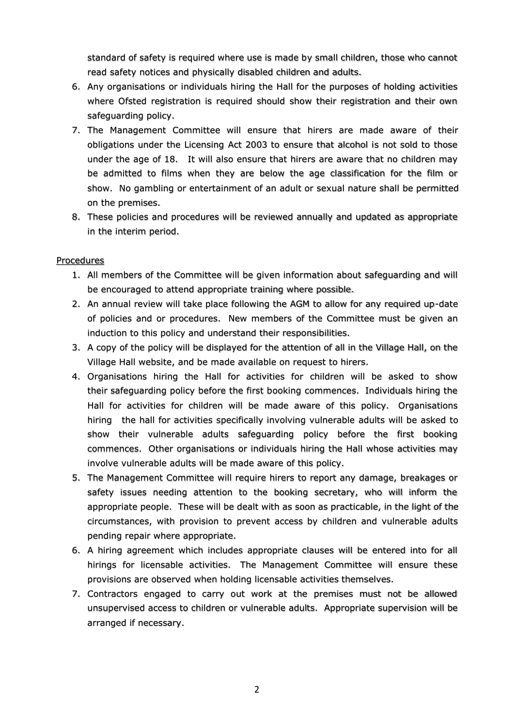standard of safety is required where use is made by small children, those who cannot read safety notices and physically disabled children and adults.

- 6. Any organisations or individuals hiring the Hall for the purposes of holding activities where Ofsted registration is required should show their registration and their own safeguarding policy.
- 7. The Management Committee will ensure that hirers are made aware of their obligations under the Licensing Act 2003 to ensure that alcohol is not sold to those under the age of 18. It will also ensure that hirers are aware that no children may be admitted to films when they are below the age classification for the film or show. No gambling or entertainment of an adult or sexual nature shall be permitted on the premises.
- 8. These policies and procedures will be reviewed annually and updated as appropriate in the interim period.

# **Procedures**

- 1. All members of the Committee will be given information about safeguarding and will be encouraged to attend appropriate training where possible.
- 2. An annual review will take place following the AGM to allow for any required up-date of policies and or procedures. New members of the Committee must be given an induction to this policy and understand their responsibilities.
- 3. A copy of the policy will be displayed for the attention of all in the Village Hall, on the Village Hall website, and be made available on request to hirers.
- 4. Organisations hiring the Hall for activities for children will be asked to show their safeguarding policy before the first booking commences. Individuals hiring the Hall for activities for children will be made aware of this policy. Organisations hiring the hall for activities specifically involving vulnerable adults will be asked to show their vulnerable adults safeguarding policy before the first booking commences. Other organisations or individuals hiring the Hall whose activities may involve vulnerable adults will be made aware of this policy.
- 5. The Management Committee will require hirers to report any damage, breakages or safety issues needing attention to the booking secretary, who will inform the appropriate people. These will be dealt with as soon as practicable, in the light of the circumstances, with provision to prevent access by children and vulnerable adults pending repair where appropriate.
- 6. A hiring agreement which includes appropriate clauses will be entered into for all hirings for licensable activities. The Management Committee will ensure these provisions are observed when holding licensable activities themselves.
- 7. Contractors engaged to carry out work at the premises must not be allowed unsupervised access to children or vulnerable adults. Appropriate supervision will be arranged if necessary.